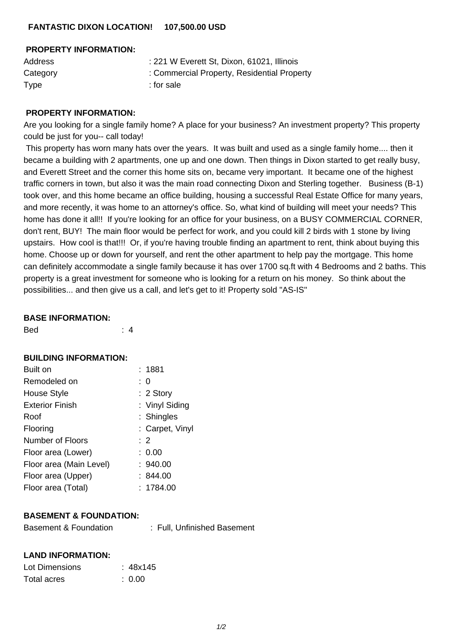## **PROPERTY INFORMATION:**

| <b>Address</b> | : 221 W Everett St, Dixon, 61021, Illinois  |
|----------------|---------------------------------------------|
| Category       | : Commercial Property, Residential Property |
| Type           | : for sale                                  |

## **PROPERTY INFORMATION:**

Are you looking for a single family home? A place for your business? An investment property? This property could be just for you-- call today!

 This property has worn many hats over the years. It was built and used as a single family home.... then it became a building with 2 apartments, one up and one down. Then things in Dixon started to get really busy, and Everett Street and the corner this home sits on, became very important. It became one of the highest traffic corners in town, but also it was the main road connecting Dixon and Sterling together. Business (B-1) took over, and this home became an office building, housing a successful Real Estate Office for many years, and more recently, it was home to an attorney's office. So, what kind of building will meet your needs? This home has done it all!! If you're looking for an office for your business, on a BUSY COMMERCIAL CORNER, don't rent, BUY! The main floor would be perfect for work, and you could kill 2 birds with 1 stone by living upstairs. How cool is that!!! Or, if you're having trouble finding an apartment to rent, think about buying this home. Choose up or down for yourself, and rent the other apartment to help pay the mortgage. This home can definitely accommodate a single family because it has over 1700 sq.ft with 4 Bedrooms and 2 baths. This property is a great investment for someone who is looking for a return on his money. So think about the possibilities... and then give us a call, and let's get to it! Property sold "AS-IS"

#### **BASE INFORMATION:**

| :1881           |
|-----------------|
| : 0             |
| $: 2$ Story     |
| : Vinyl Siding  |
| : Shingles      |
| : Carpet, Vinyl |
| $\therefore$ 2  |
| : 0.00          |
| : 940.00        |
| :844.00         |
| : 1784.00       |
|                 |

# **BASEMENT & FOUNDATION:**

| : Full, Unfinished Basement |
|-----------------------------|
|                             |

### **LAND INFORMATION:**

| Lot Dimensions | : 48x145 |
|----------------|----------|
| Total acres    | : 0.00   |